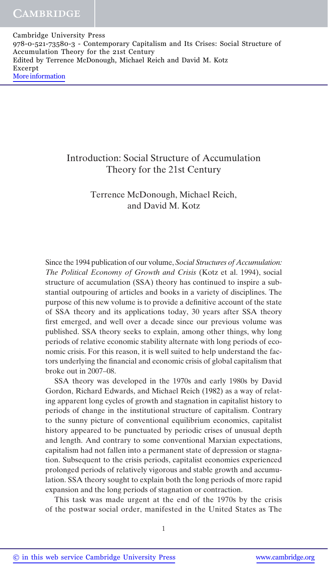# Introduction: Social Structure of Accumulation Theory for the 21st Century

# Terrence McDonough, Michael Reich, and David M. Kotz

Since the 1994 publication of our volume, *Social Structures of Accumulation: The Political Economy of Growth and Crisis* (Kotz et al. 1994), social structure of accumulation (SSA) theory has continued to inspire a substantial outpouring of articles and books in a variety of disciplines. The purpose of this new volume is to provide a definitive account of the state of SSA theory and its applications today, 30 years after SSA theory first emerged, and well over a decade since our previous volume was published. SSA theory seeks to explain, among other things, why long periods of relative economic stability alternate with long periods of economic crisis. For this reason, it is well suited to help understand the factors underlying the financial and economic crisis of global capitalism that broke out in 2007–08.

SSA theory was developed in the 1970s and early 1980s by David Gordon, Richard Edwards, and Michael Reich (1982) as a way of relating apparent long cycles of growth and stagnation in capitalist history to periods of change in the institutional structure of capitalism. Contrary to the sunny picture of conventional equilibrium economics, capitalist history appeared to be punctuated by periodic crises of unusual depth and length. And contrary to some conventional Marxian expectations, capitalism had not fallen into a permanent state of depression or stagnation. Subsequent to the crisis periods, capitalist economies experienced prolonged periods of relatively vigorous and stable growth and accumulation. SSA theory sought to explain both the long periods of more rapid expansion and the long periods of stagnation or contraction.

This task was made urgent at the end of the 1970s by the crisis of the postwar social order, manifested in the United States as The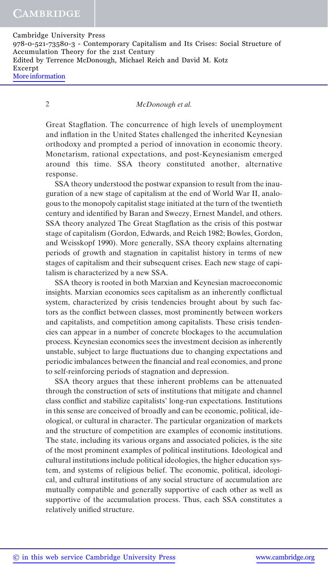2 *McDonough et al.*

Great Stagflation. The concurrence of high levels of unemployment and inflation in the United States challenged the inherited Keynesian orthodoxy and prompted a period of innovation in economic theory. Monetarism, rational expectations, and post-Keynesianism emerged around this time. SSA theory constituted another, alternative response.

SSA theory understood the postwar expansion to result from the inauguration of a new stage of capitalism at the end of World War II, analogous to the monopoly capitalist stage initiated at the turn of the twentieth century and identified by Baran and Sweezy, Ernest Mandel, and others. SSA theory analyzed The Great Stagflation as the crisis of this postwar stage of capitalism (Gordon, Edwards, and Reich 1982; Bowles, Gordon, and Weisskopf 1990). More generally, SSA theory explains alternating periods of growth and stagnation in capitalist history in terms of new stages of capitalism and their subsequent crises. Each new stage of capitalism is characterized by a new SSA.

SSA theory is rooted in both Marxian and Keynesian macroeconomic insights. Marxian economics sees capitalism as an inherently conflictual system, characterized by crisis tendencies brought about by such factors as the conflict between classes, most prominently between workers and capitalists, and competition among capitalists. These crisis tendencies can appear in a number of concrete blockages to the accumulation process. Keynesian economics sees the investment decision as inherently unstable, subject to large fluctuations due to changing expectations and periodic imbalances between the financial and real economies, and prone to self-reinforcing periods of stagnation and depression.

SSA theory argues that these inherent problems can be attenuated through the construction of sets of institutions that mitigate and channel class conflict and stabilize capitalists' long-run expectations. Institutions in this sense are conceived of broadly and can be economic, political, ideological, or cultural in character. The particular organization of markets and the structure of competition are examples of economic institutions. The state, including its various organs and associated policies, is the site of the most prominent examples of political institutions. Ideological and cultural institutions include political ideologies, the higher education system, and systems of religious belief. The economic, political, ideological, and cultural institutions of any social structure of accumulation are mutually compatible and generally supportive of each other as well as supportive of the accumulation process. Thus, each SSA constitutes a relatively unified structure.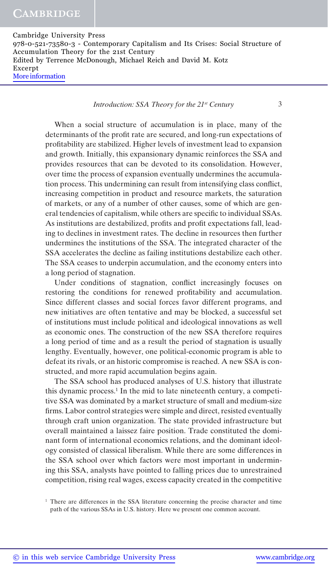#### *Introduction: SSA Theory for the 21st Century* 3

When a social structure of accumulation is in place, many of the determinants of the profit rate are secured, and long-run expectations of profitability are stabilized. Higher levels of investment lead to expansion and growth. Initially, this expansionary dynamic reinforces the SSA and provides resources that can be devoted to its consolidation. However, over time the process of expansion eventually undermines the accumulation process. This undermining can result from intensifying class conflict, increasing competition in product and resource markets, the saturation of markets, or any of a number of other causes, some of which are general tendencies of capitalism, while others are specific to individual SSAs. As institutions are destabilized, profits and profit expectations fall, leading to declines in investment rates. The decline in resources then further undermines the institutions of the SSA. The integrated character of the SSA accelerates the decline as failing institutions destabilize each other. The SSA ceases to underpin accumulation, and the economy enters into a long period of stagnation.

Under conditions of stagnation, conflict increasingly focuses on restoring the conditions for renewed profitability and accumulation. Since different classes and social forces favor different programs, and new initiatives are often tentative and may be blocked, a successful set of institutions must include political and ideological innovations as well as economic ones. The construction of the new SSA therefore requires a long period of time and as a result the period of stagnation is usually lengthy. Eventually, however, one political-economic program is able to defeat its rivals, or an historic compromise is reached. A new SSA is constructed, and more rapid accumulation begins again.

The SSA school has produced analyses of U.S. history that illustrate this dynamic process.<sup>1</sup> In the mid to late nineteenth century, a competitive SSA was dominated by a market structure of small and medium-size firms. Labor control strategies were simple and direct, resisted eventually through craft union organization. The state provided infrastructure but overall maintained a laissez faire position. Trade constituted the dominant form of international economics relations, and the dominant ideology consisted of classical liberalism. While there are some differences in the SSA school over which factors were most important in undermining this SSA, analysts have pointed to falling prices due to unrestrained competition, rising real wages, excess capacity created in the competitive

<sup>&</sup>lt;sup>1</sup> There are differences in the SSA literature concerning the precise character and time path of the various SSAs in U.S. history. Here we present one common account.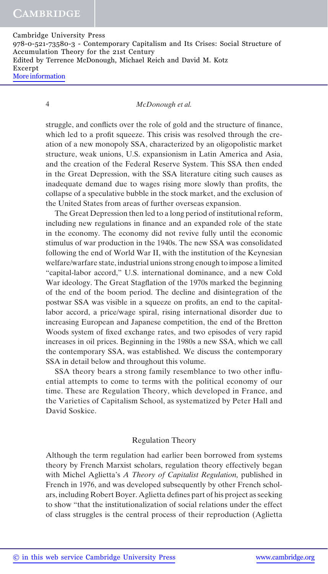## 4 *McDonough et al.*

struggle, and conflicts over the role of gold and the structure of finance, which led to a profit squeeze. This crisis was resolved through the creation of a new monopoly SSA, characterized by an oligopolistic market structure, weak unions, U.S. expansionism in Latin America and Asia, and the creation of the Federal Reserve System. This SSA then ended in the Great Depression, with the SSA literature citing such causes as inadequate demand due to wages rising more slowly than profits, the collapse of a speculative bubble in the stock market, and the exclusion of the United States from areas of further overseas expansion.

The Great Depression then led to a long period of institutional reform, including new regulations in finance and an expanded role of the state in the economy. The economy did not revive fully until the economic stimulus of war production in the 1940s. The new SSA was consolidated following the end of World War II, with the institution of the Keynesian welfare/warfare state, industrial unions strong enough to impose a limited "capital-labor accord," U.S. international dominance, and a new Cold War ideology. The Great Stagflation of the 1970s marked the beginning of the end of the boom period. The decline and disintegration of the postwar SSA was visible in a squeeze on profits, an end to the capitallabor accord, a price/wage spiral, rising international disorder due to increasing European and Japanese competition, the end of the Bretton Woods system of fixed exchange rates, and two episodes of very rapid increases in oil prices. Beginning in the 1980s a new SSA, which we call the contemporary SSA, was established. We discuss the contemporary SSA in detail below and throughout this volume.

SSA theory bears a strong family resemblance to two other influential attempts to come to terms with the political economy of our time. These are Regulation Theory, which developed in France, and the Varieties of Capitalism School, as systematized by Peter Hall and David Soskice.

# Regulation Theory

Although the term regulation had earlier been borrowed from systems theory by French Marxist scholars, regulation theory effectively began with Michel Aglietta's *A Theory of Capitalist Regulation,* published in French in 1976, and was developed subsequently by other French scholars, including Robert Boyer. Aglietta defines part of his project as seeking to show "that the institutionalization of social relations under the effect of class struggles is the central process of their reproduction (Aglietta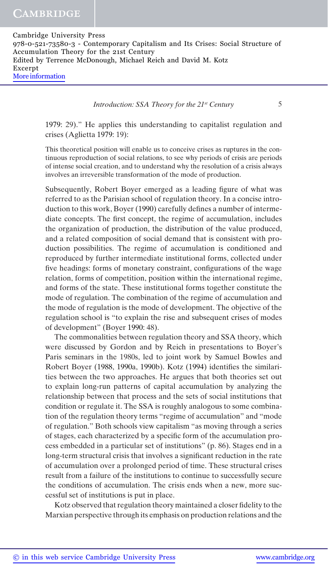#### *Introduction: SSA Theory for the 21st Century* 5

1979: 29)." He applies this understanding to capitalist regulation and crises (Aglietta 1979: 19):

This theoretical position will enable us to conceive crises as ruptures in the continuous reproduction of social relations, to see why periods of crisis are periods of intense social creation, and to understand why the resolution of a crisis always involves an irreversible transformation of the mode of production.

Subsequently, Robert Boyer emerged as a leading figure of what was referred to as the Parisian school of regulation theory. In a concise introduction to this work, Boyer (1990) carefully defines a number of intermediate concepts. The first concept, the regime of accumulation, includes the organization of production, the distribution of the value produced, and a related composition of social demand that is consistent with production possibilities. The regime of accumulation is conditioned and reproduced by further intermediate institutional forms, collected under five headings: forms of monetary constraint, configurations of the wage relation, forms of competition, position within the international regime, and forms of the state. These institutional forms together constitute the mode of regulation. The combination of the regime of accumulation and the mode of regulation is the mode of development. The objective of the regulation school is "to explain the rise and subsequent crises of modes of development" (Boyer 1990: 48).

The commonalities between regulation theory and SSA theory, which were discussed by Gordon and by Reich in presentations to Boyer's Paris seminars in the 1980s, led to joint work by Samuel Bowles and Robert Boyer (1988, 1990a, 1990b). Kotz (1994) identifies the similarities between the two approaches. He argues that both theories set out to explain long-run patterns of capital accumulation by analyzing the relationship between that process and the sets of social institutions that condition or regulate it. The SSA is roughly analogous to some combination of the regulation theory terms "regime of accumulation" and "mode of regulation." Both schools view capitalism "as moving through a series of stages, each characterized by a specific form of the accumulation process embedded in a particular set of institutions" (p. 86). Stages end in a long-term structural crisis that involves a significant reduction in the rate of accumulation over a prolonged period of time. These structural crises result from a failure of the institutions to continue to successfully secure the conditions of accumulation. The crisis ends when a new, more successful set of institutions is put in place.

Kotz observed that regulation theory maintained a closer fidelity to the Marxian perspective through its emphasis on production relations and the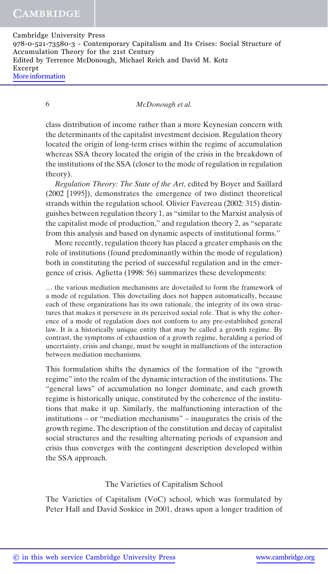6 *McDonough et al.*

class distribution of income rather than a more Keynesian concern with the determinants of the capitalist investment decision. Regulation theory located the origin of long-term crises within the regime of accumulation whereas SSA theory located the origin of the crisis in the breakdown of the institutions of the SSA (closer to the mode of regulation in regulation theory).

*Regulation Theory: The State of the Art*, edited by Boyer and Saillard (2002 [1995]), demonstrates the emergence of two distinct theoretical strands within the regulation school. Olivier Favereau (2002: 315) distinguishes between regulation theory 1, as "similar to the Marxist analysis of the capitalist mode of production," and regulation theory 2, as "separate from this analysis and based on dynamic aspects of institutional forms."

More recently, regulation theory has placed a greater emphasis on the role of institutions (found predominantly within the mode of regulation) both in constituting the period of successful regulation and in the emergence of crisis. Aglietta (1998: 56) summarizes these developments:

… the various mediation mechanisms are dovetailed to form the framework of a mode of regulation. This dovetailing does not happen automatically, because each of these organizations has its own rationale, the integrity of its own structures that makes it persevere in its perceived social role. That is why the coherence of a mode of regulation does not conform to any pre-established general law. It is a historically unique entity that may be called a growth regime. By contrast, the symptoms of exhaustion of a growth regime, heralding a period of uncertainty, crisis and change, must be sought in malfunctions of the interaction between mediation mechanisms.

This formulation shifts the dynamics of the formation of the "growth regime" into the realm of the dynamic interaction of the institutions. The "general laws" of accumulation no longer dominate, and each growth regime is historically unique, constituted by the coherence of the institutions that make it up. Similarly, the malfunctioning interaction of the institutions – or "mediation mechanisms" – inaugurates the crisis of the growth regime. The description of the constitution and decay of capitalist social structures and the resulting alternating periods of expansion and crisis thus converges with the contingent description developed within the SSA approach.

#### The Varieties of Capitalism School

The Varieties of Capitalism (VoC) school, which was formulated by Peter Hall and David Soskice in 2001, draws upon a longer tradition of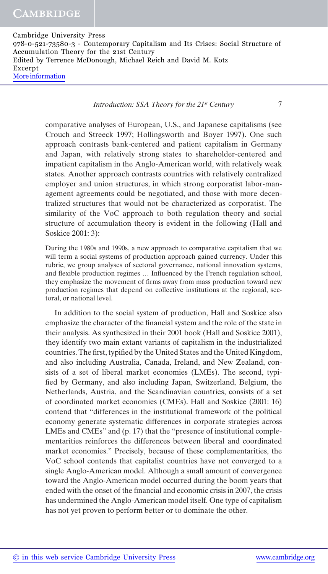*Introduction: SSA Theory for the 21<sup>st</sup> Century* 7

comparative analyses of European, U.S., and Japanese capitalisms (see Crouch and Streeck 1997; Hollingsworth and Boyer 1997). One such approach contrasts bank-centered and patient capitalism in Germany and Japan, with relatively strong states to shareholder-centered and impatient capitalism in the Anglo-American world, with relatively weak states. Another approach contrasts countries with relatively centralized employer and union structures, in which strong corporatist labor-management agreements could be negotiated, and those with more decentralized structures that would not be characterized as corporatist. The similarity of the VoC approach to both regulation theory and social structure of accumulation theory is evident in the following (Hall and Soskice 2001: 3):

During the 1980s and 1990s, a new approach to comparative capitalism that we will term a social systems of production approach gained currency. Under this rubric, we group analyses of sectoral governance, national innovation systems, and flexible production regimes … Influenced by the French regulation school, they emphasize the movement of firms away from mass production toward new production regimes that depend on collective institutions at the regional, sectoral, or national level.

In addition to the social system of production, Hall and Soskice also emphasize the character of the financial system and the role of the state in their analysis. As synthesized in their 2001 book (Hall and Soskice 2001), they identify two main extant variants of capitalism in the industrialized countries. The first, typified by the United States and the United Kingdom, and also including Australia, Canada, Ireland, and New Zealand, consists of a set of liberal market economies (LMEs). The second, typified by Germany, and also including Japan, Switzerland, Belgium, the Netherlands, Austria, and the Scandinavian countries, consists of a set of coordinated market economies (CMEs). Hall and Soskice (2001: 16) contend that "differences in the institutional framework of the political economy generate systematic differences in corporate strategies across LMEs and CMEs" and (p. 17) that the "presence of institutional complementarities reinforces the differences between liberal and coordinated market economies." Precisely, because of these complementarities, the VoC school contends that capitalist countries have not converged to a single Anglo-American model. Although a small amount of convergence toward the Anglo-American model occurred during the boom years that ended with the onset of the financial and economic crisis in 2007, the crisis has undermined the Anglo-American model itself. One type of capitalism has not yet proven to perform better or to dominate the other.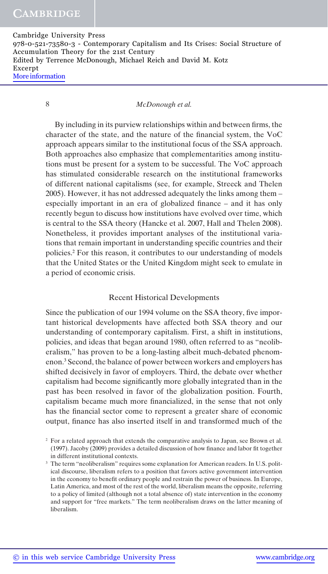## 8 *McDonough et al.*

By including in its purview relationships within and between firms, the character of the state, and the nature of the financial system, the VoC approach appears similar to the institutional focus of the SSA approach. Both approaches also emphasize that complementarities among institutions must be present for a system to be successful. The VoC approach has stimulated considerable research on the institutional frameworks of different national capitalisms (see, for example, Streeck and Thelen 2005). However, it has not addressed adequately the links among them – especially important in an era of globalized finance – and it has only recently begun to discuss how institutions have evolved over time, which is central to the SSA theory (Hancke et al. 2007, Hall and Thelen 2008). Nonetheless, it provides important analyses of the institutional variations that remain important in understanding specific countries and their policies.2 For this reason, it contributes to our understanding of models that the United States or the United Kingdom might seek to emulate in a period of economic crisis.

#### Recent Historical Developments

Since the publication of our 1994 volume on the SSA theory, five important historical developments have affected both SSA theory and our understanding of contemporary capitalism. First, a shift in institutions, policies, and ideas that began around 1980, often referred to as "neoliberalism," has proven to be a long-lasting albeit much-debated phenomenon.3 Second, the balance of power between workers and employers has shifted decisively in favor of employers. Third, the debate over whether capitalism had become significantly more globally integrated than in the past has been resolved in favor of the globalization position. Fourth, capitalism became much more financialized, in the sense that not only has the financial sector come to represent a greater share of economic output, finance has also inserted itself in and transformed much of the

<sup>2</sup> For a related approach that extends the comparative analysis to Japan, see Brown et al. (1997). Jacoby (2009) provides a detailed discussion of how finance and labor fit together in different institutional contexts.

<sup>&</sup>lt;sup>3</sup> The term "neoliberalism" requires some explanation for American readers. In U.S. political discourse, liberalism refers to a position that favors active government intervention in the economy to benefit ordinary people and restrain the power of business. In Europe, Latin America, and most of the rest of the world, liberalism means the opposite, referring to a policy of limited (although not a total absence of) state intervention in the economy and support for "free markets." The term neoliberalism draws on the latter meaning of liberalism.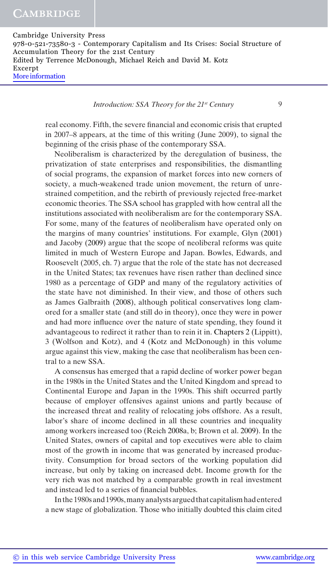#### *Introduction: SSA Theory for the 21<sup>st</sup> Century* 9

real economy. Fifth, the severe financial and economic crisis that erupted in 2007–8 appears, at the time of this writing (June 2009), to signal the beginning of the crisis phase of the contemporary SSA.

Neoliberalism is characterized by the deregulation of business, the privatization of state enterprises and responsibilities, the dismantling of social programs, the expansion of market forces into new corners of society, a much-weakened trade union movement, the return of unrestrained competition, and the rebirth of previously rejected free-market economic theories. The SSA school has grappled with how central all the institutions associated with neoliberalism are for the contemporary SSA. For some, many of the features of neoliberalism have operated only on the margins of many countries' institutions. For example, Glyn (2001) and Jacoby (2009) argue that the scope of neoliberal reforms was quite limited in much of Western Europe and Japan. Bowles, Edwards, and Roosevelt (2005, ch. 7) argue that the role of the state has not decreased in the United States; tax revenues have risen rather than declined since 1980 as a percentage of GDP and many of the regulatory activities of the state have not diminished. In their view, and those of others such as James Galbraith (2008), although political conservatives long clamored for a smaller state (and still do in theory), once they were in power and had more influence over the nature of state spending, they found it advantageous to redirect it rather than to rein it in. Chapters 2 (Lippitt), 3 (Wolfson and Kotz), and 4 (Kotz and McDonough) in this volume argue against this view, making the case that neoliberalism has been central to a new SSA.

A consensus has emerged that a rapid decline of worker power began in the 1980s in the United States and the United Kingdom and spread to Continental Europe and Japan in the 1990s. This shift occurred partly because of employer offensives against unions and partly because of the increased threat and reality of relocating jobs offshore. As a result, labor's share of income declined in all these countries and inequality among workers increased too (Reich 2008a, b; Brown et al. 2009). In the United States, owners of capital and top executives were able to claim most of the growth in income that was generated by increased productivity. Consumption for broad sectors of the working population did increase, but only by taking on increased debt. Income growth for the very rich was not matched by a comparable growth in real investment and instead led to a series of financial bubbles.

In the 1980s and 1990s, many analysts argued that capitalism had entered a new stage of globalization. Those who initially doubted this claim cited